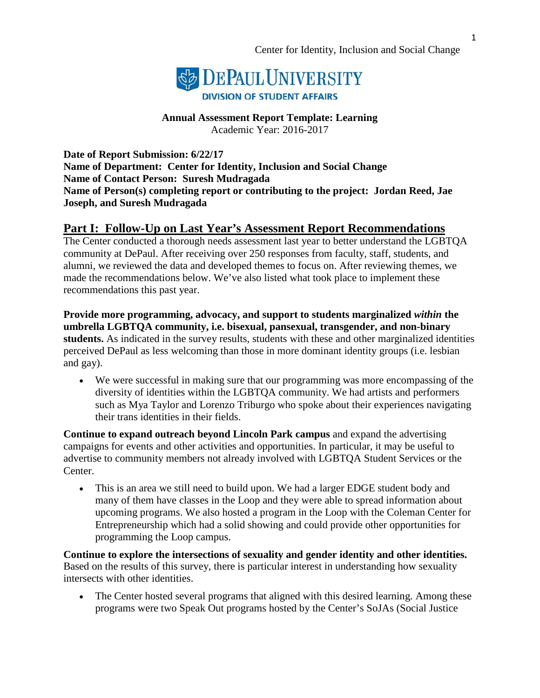

**Annual Assessment Report Template: Learning** Academic Year: 2016-2017

**Date of Report Submission: 6/22/17 Name of Department: Center for Identity, Inclusion and Social Change Name of Contact Person: Suresh Mudragada Name of Person(s) completing report or contributing to the project: Jordan Reed, Jae Joseph, and Suresh Mudragada**

## **Part I: Follow-Up on Last Year's Assessment Report Recommendations**

The Center conducted a thorough needs assessment last year to better understand the LGBTQA community at DePaul. After receiving over 250 responses from faculty, staff, students, and alumni, we reviewed the data and developed themes to focus on. After reviewing themes, we made the recommendations below. We've also listed what took place to implement these recommendations this past year.

**Provide more programming, advocacy, and support to students marginalized** *within* **the umbrella LGBTQA community, i.e. bisexual, pansexual, transgender, and non-binary students.** As indicated in the survey results, students with these and other marginalized identities perceived DePaul as less welcoming than those in more dominant identity groups (i.e. lesbian and gay).

• We were successful in making sure that our programming was more encompassing of the diversity of identities within the LGBTQA community. We had artists and performers such as Mya Taylor and Lorenzo Triburgo who spoke about their experiences navigating their trans identities in their fields.

**Continue to expand outreach beyond Lincoln Park campus** and expand the advertising campaigns for events and other activities and opportunities. In particular, it may be useful to advertise to community members not already involved with LGBTQA Student Services or the Center.

• This is an area we still need to build upon. We had a larger EDGE student body and many of them have classes in the Loop and they were able to spread information about upcoming programs. We also hosted a program in the Loop with the Coleman Center for Entrepreneurship which had a solid showing and could provide other opportunities for programming the Loop campus.

**Continue to explore the intersections of sexuality and gender identity and other identities.**  Based on the results of this survey, there is particular interest in understanding how sexuality intersects with other identities.

• The Center hosted several programs that aligned with this desired learning. Among these programs were two Speak Out programs hosted by the Center's SoJAs (Social Justice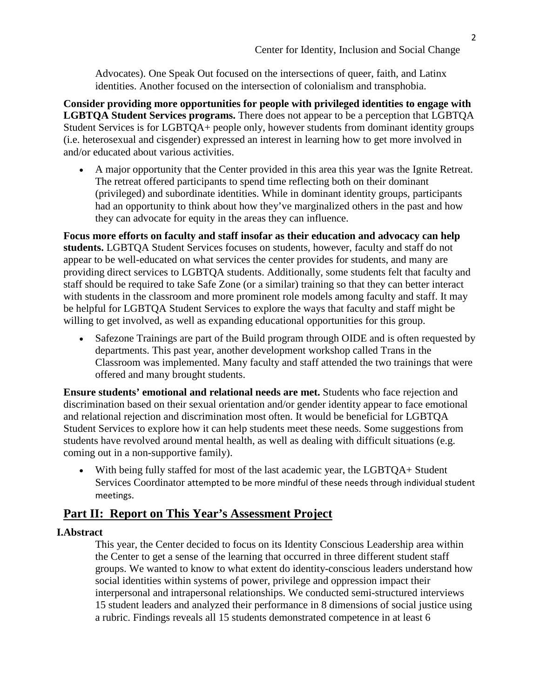Advocates). One Speak Out focused on the intersections of queer, faith, and Latinx identities. Another focused on the intersection of colonialism and transphobia.

**Consider providing more opportunities for people with privileged identities to engage with LGBTQA Student Services programs.** There does not appear to be a perception that LGBTQA Student Services is for LGBTQA+ people only, however students from dominant identity groups (i.e. heterosexual and cisgender) expressed an interest in learning how to get more involved in and/or educated about various activities.

• A major opportunity that the Center provided in this area this year was the Ignite Retreat. The retreat offered participants to spend time reflecting both on their dominant (privileged) and subordinate identities. While in dominant identity groups, participants had an opportunity to think about how they've marginalized others in the past and how they can advocate for equity in the areas they can influence.

**Focus more efforts on faculty and staff insofar as their education and advocacy can help students.** LGBTQA Student Services focuses on students, however, faculty and staff do not appear to be well-educated on what services the center provides for students, and many are providing direct services to LGBTQA students. Additionally, some students felt that faculty and staff should be required to take Safe Zone (or a similar) training so that they can better interact with students in the classroom and more prominent role models among faculty and staff. It may be helpful for LGBTQA Student Services to explore the ways that faculty and staff might be willing to get involved, as well as expanding educational opportunities for this group.

• Safezone Trainings are part of the Build program through OIDE and is often requested by departments. This past year, another development workshop called Trans in the Classroom was implemented. Many faculty and staff attended the two trainings that were offered and many brought students.

**Ensure students' emotional and relational needs are met.** Students who face rejection and discrimination based on their sexual orientation and/or gender identity appear to face emotional and relational rejection and discrimination most often. It would be beneficial for LGBTQA Student Services to explore how it can help students meet these needs. Some suggestions from students have revolved around mental health, as well as dealing with difficult situations (e.g. coming out in a non-supportive family).

• With being fully staffed for most of the last academic year, the LGBTQA+ Student Services Coordinator attempted to be more mindful of these needs through individual student meetings.

## **Part II: Report on This Year's Assessment Project**

## **I.Abstract**

This year, the Center decided to focus on its Identity Conscious Leadership area within the Center to get a sense of the learning that occurred in three different student staff groups. We wanted to know to what extent do identity-conscious leaders understand how social identities within systems of power, privilege and oppression impact their interpersonal and intrapersonal relationships. We conducted semi-structured interviews 15 student leaders and analyzed their performance in 8 dimensions of social justice using a rubric. Findings reveals all 15 students demonstrated competence in at least 6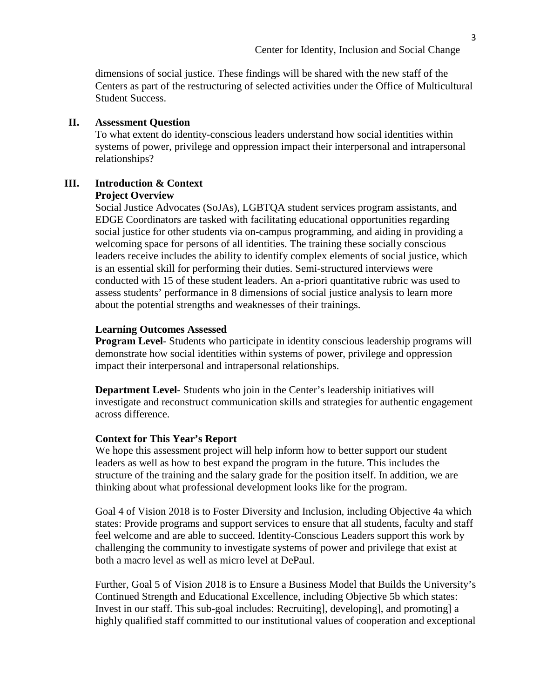dimensions of social justice. These findings will be shared with the new staff of the Centers as part of the restructuring of selected activities under the Office of Multicultural Student Success.

## **II. Assessment Question**

To what extent do identity-conscious leaders understand how social identities within systems of power, privilege and oppression impact their interpersonal and intrapersonal relationships?

#### **III. Introduction & Context Project Overview**

Social Justice Advocates (SoJAs), LGBTQA student services program assistants, and EDGE Coordinators are tasked with facilitating educational opportunities regarding social justice for other students via on-campus programming, and aiding in providing a welcoming space for persons of all identities. The training these socially conscious leaders receive includes the ability to identify complex elements of social justice, which is an essential skill for performing their duties. Semi-structured interviews were conducted with 15 of these student leaders. An a-priori quantitative rubric was used to assess students' performance in 8 dimensions of social justice analysis to learn more about the potential strengths and weaknesses of their trainings.

### **Learning Outcomes Assessed**

**Program Level**- Students who participate in identity conscious leadership programs will demonstrate how social identities within systems of power, privilege and oppression impact their interpersonal and intrapersonal relationships.

**Department Level-** Students who join in the Center's leadership initiatives will investigate and reconstruct communication skills and strategies for authentic engagement across difference.

#### **Context for This Year's Report**

We hope this assessment project will help inform how to better support our student leaders as well as how to best expand the program in the future. This includes the structure of the training and the salary grade for the position itself. In addition, we are thinking about what professional development looks like for the program.

Goal 4 of Vision 2018 is to Foster Diversity and Inclusion, including Objective 4a which states: Provide programs and support services to ensure that all students, faculty and staff feel welcome and are able to succeed. Identity-Conscious Leaders support this work by challenging the community to investigate systems of power and privilege that exist at both a macro level as well as micro level at DePaul.

Further, Goal 5 of Vision 2018 is to Ensure a Business Model that Builds the University's Continued Strength and Educational Excellence, including Objective 5b which states: Invest in our staff. This sub-goal includes: Recruiting], developing], and promoting] a highly qualified staff committed to our institutional values of cooperation and exceptional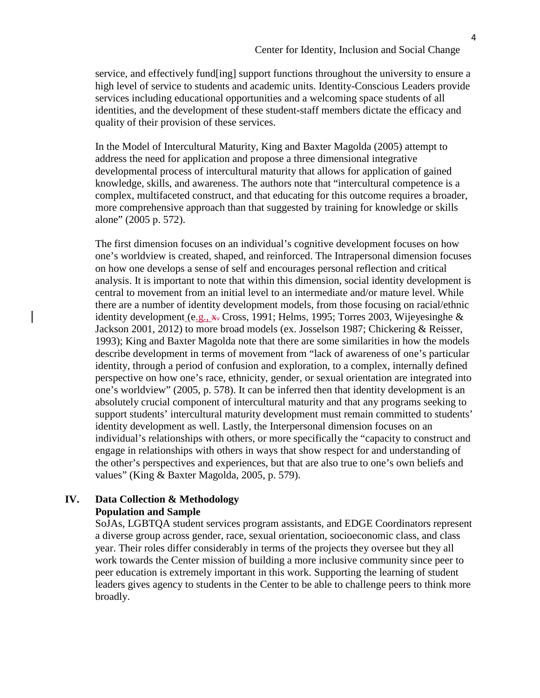service, and effectively fund[ing] support functions throughout the university to ensure a high level of service to students and academic units. Identity-Conscious Leaders provide services including educational opportunities and a welcoming space students of all identities, and the development of these student-staff members dictate the efficacy and quality of their provision of these services.

In the Model of Intercultural Maturity, King and Baxter Magolda (2005) attempt to address the need for application and propose a three dimensional integrative developmental process of intercultural maturity that allows for application of gained knowledge, skills, and awareness. The authors note that "intercultural competence is a complex, multifaceted construct, and that educating for this outcome requires a broader, more comprehensive approach than that suggested by training for knowledge or skills alone" (2005 p. 572).

The first dimension focuses on an individual's cognitive development focuses on how one's worldview is created, shaped, and reinforced. The Intrapersonal dimension focuses on how one develops a sense of self and encourages personal reflection and critical analysis. It is important to note that within this dimension, social identity development is central to movement from an initial level to an intermediate and/or mature level. While there are a number of identity development models, from those focusing on racial/ethnic identity development  $(e.g., \mathbf{x})$ . Cross, 1991; Helms, 1995; Torres 2003, Wijeyesinghe & Jackson 2001, 2012) to more broad models (ex. Josselson 1987; Chickering & Reisser, 1993); King and Baxter Magolda note that there are some similarities in how the models describe development in terms of movement from "lack of awareness of one's particular identity, through a period of confusion and exploration, to a complex, internally defined perspective on how one's race, ethnicity, gender, or sexual orientation are integrated into one's worldview" (2005, p. 578). It can be inferred then that identity development is an absolutely crucial component of intercultural maturity and that any programs seeking to support students' intercultural maturity development must remain committed to students' identity development as well. Lastly, the Interpersonal dimension focuses on an individual's relationships with others, or more specifically the "capacity to construct and engage in relationships with others in ways that show respect for and understanding of the other's perspectives and experiences, but that are also true to one's own beliefs and values" (King & Baxter Magolda, 2005, p. 579).

## **IV. Data Collection & Methodology Population and Sample**

SoJAs, LGBTQA student services program assistants, and EDGE Coordinators represent a diverse group across gender, race, sexual orientation, socioeconomic class, and class year. Their roles differ considerably in terms of the projects they oversee but they all work towards the Center mission of building a more inclusive community since peer to peer education is extremely important in this work. Supporting the learning of student leaders gives agency to students in the Center to be able to challenge peers to think more broadly.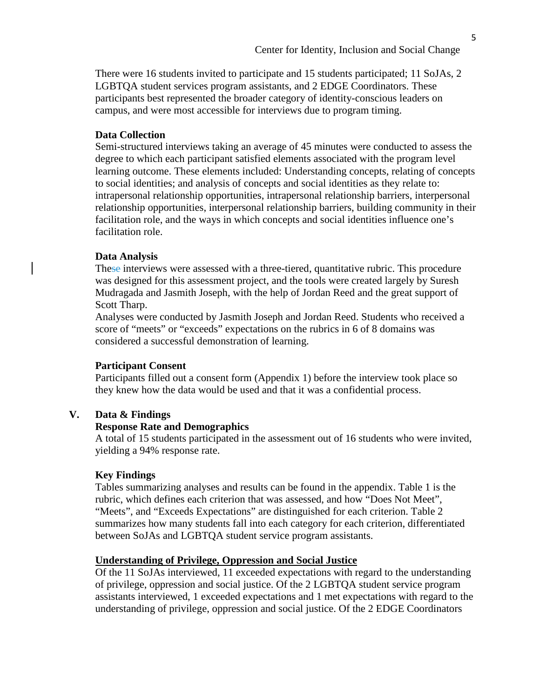There were 16 students invited to participate and 15 students participated; 11 SoJAs, 2 LGBTQA student services program assistants, and 2 EDGE Coordinators. These participants best represented the broader category of identity-conscious leaders on campus, and were most accessible for interviews due to program timing.

## **Data Collection**

Semi-structured interviews taking an average of 45 minutes were conducted to assess the degree to which each participant satisfied elements associated with the program level learning outcome. These elements included: Understanding concepts, relating of concepts to social identities; and analysis of concepts and social identities as they relate to: intrapersonal relationship opportunities, intrapersonal relationship barriers, interpersonal relationship opportunities, interpersonal relationship barriers, building community in their facilitation role, and the ways in which concepts and social identities influence one's facilitation role.

## **Data Analysis**

These interviews were assessed with a three-tiered, quantitative rubric. This procedure was designed for this assessment project, and the tools were created largely by Suresh Mudragada and Jasmith Joseph, with the help of Jordan Reed and the great support of Scott Tharp.

Analyses were conducted by Jasmith Joseph and Jordan Reed. Students who received a score of "meets" or "exceeds" expectations on the rubrics in 6 of 8 domains was considered a successful demonstration of learning.

#### **Participant Consent**

Participants filled out a consent form (Appendix 1) before the interview took place so they knew how the data would be used and that it was a confidential process.

## **V. Data & Findings**

#### **Response Rate and Demographics**

A total of 15 students participated in the assessment out of 16 students who were invited, yielding a 94% response rate.

#### **Key Findings**

Tables summarizing analyses and results can be found in the appendix. Table 1 is the rubric, which defines each criterion that was assessed, and how "Does Not Meet", "Meets", and "Exceeds Expectations" are distinguished for each criterion. Table 2 summarizes how many students fall into each category for each criterion, differentiated between SoJAs and LGBTQA student service program assistants.

## **Understanding of Privilege, Oppression and Social Justice**

Of the 11 SoJAs interviewed, 11 exceeded expectations with regard to the understanding of privilege, oppression and social justice. Of the 2 LGBTQA student service program assistants interviewed, 1 exceeded expectations and 1 met expectations with regard to the understanding of privilege, oppression and social justice. Of the 2 EDGE Coordinators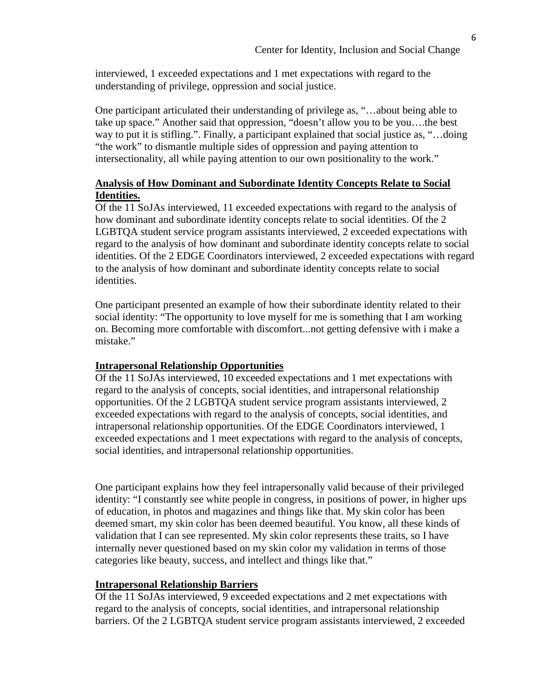interviewed, 1 exceeded expectations and 1 met expectations with regard to the understanding of privilege, oppression and social justice.

One participant articulated their understanding of privilege as, "…about being able to take up space." Another said that oppression, "doesn't allow you to be you….the best way to put it is stifling.". Finally, a participant explained that social justice as, "…doing "the work" to dismantle multiple sides of oppression and paying attention to intersectionality, all while paying attention to our own positionality to the work."

## **Analysis of How Dominant and Subordinate Identity Concepts Relate to Social Identities.**

Of the 11 SoJAs interviewed, 11 exceeded expectations with regard to the analysis of how dominant and subordinate identity concepts relate to social identities. Of the 2 LGBTQA student service program assistants interviewed, 2 exceeded expectations with regard to the analysis of how dominant and subordinate identity concepts relate to social identities. Of the 2 EDGE Coordinators interviewed, 2 exceeded expectations with regard to the analysis of how dominant and subordinate identity concepts relate to social identities.

One participant presented an example of how their subordinate identity related to their social identity: "The opportunity to love myself for me is something that I am working on. Becoming more comfortable with discomfort...not getting defensive with i make a mistake."

## **Intrapersonal Relationship Opportunities**

Of the 11 SoJAs interviewed, 10 exceeded expectations and 1 met expectations with regard to the analysis of concepts, social identities, and intrapersonal relationship opportunities. Of the 2 LGBTQA student service program assistants interviewed, 2 exceeded expectations with regard to the analysis of concepts, social identities, and intrapersonal relationship opportunities. Of the EDGE Coordinators interviewed, 1 exceeded expectations and 1 meet expectations with regard to the analysis of concepts, social identities, and intrapersonal relationship opportunities.

One participant explains how they feel intrapersonally valid because of their privileged identity: "I constantly see white people in congress, in positions of power, in higher ups of education, in photos and magazines and things like that. My skin color has been deemed smart, my skin color has been deemed beautiful. You know, all these kinds of validation that I can see represented. My skin color represents these traits, so I have internally never questioned based on my skin color my validation in terms of those categories like beauty, success, and intellect and things like that."

#### **Intrapersonal Relationship Barriers**

Of the 11 SoJAs interviewed, 9 exceeded expectations and 2 met expectations with regard to the analysis of concepts, social identities, and intrapersonal relationship barriers. Of the 2 LGBTQA student service program assistants interviewed, 2 exceeded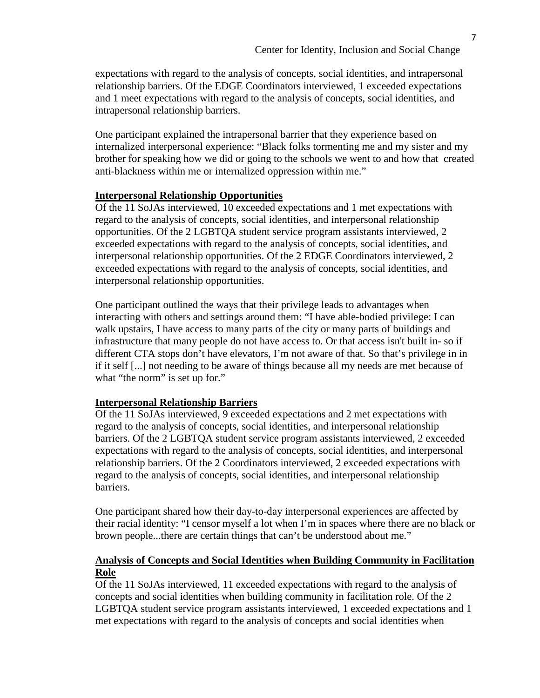expectations with regard to the analysis of concepts, social identities, and intrapersonal relationship barriers. Of the EDGE Coordinators interviewed, 1 exceeded expectations and 1 meet expectations with regard to the analysis of concepts, social identities, and intrapersonal relationship barriers.

One participant explained the intrapersonal barrier that they experience based on internalized interpersonal experience: "Black folks tormenting me and my sister and my brother for speaking how we did or going to the schools we went to and how that created anti-blackness within me or internalized oppression within me."

## **Interpersonal Relationship Opportunities**

Of the 11 SoJAs interviewed, 10 exceeded expectations and 1 met expectations with regard to the analysis of concepts, social identities, and interpersonal relationship opportunities. Of the 2 LGBTQA student service program assistants interviewed, 2 exceeded expectations with regard to the analysis of concepts, social identities, and interpersonal relationship opportunities. Of the 2 EDGE Coordinators interviewed, 2 exceeded expectations with regard to the analysis of concepts, social identities, and interpersonal relationship opportunities.

One participant outlined the ways that their privilege leads to advantages when interacting with others and settings around them: "I have able-bodied privilege: I can walk upstairs, I have access to many parts of the city or many parts of buildings and infrastructure that many people do not have access to. Or that access isn't built in- so if different CTA stops don't have elevators, I'm not aware of that. So that's privilege in in if it self [...] not needing to be aware of things because all my needs are met because of what "the norm" is set up for."

## **Interpersonal Relationship Barriers**

Of the 11 SoJAs interviewed, 9 exceeded expectations and 2 met expectations with regard to the analysis of concepts, social identities, and interpersonal relationship barriers. Of the 2 LGBTQA student service program assistants interviewed, 2 exceeded expectations with regard to the analysis of concepts, social identities, and interpersonal relationship barriers. Of the 2 Coordinators interviewed, 2 exceeded expectations with regard to the analysis of concepts, social identities, and interpersonal relationship barriers.

One participant shared how their day-to-day interpersonal experiences are affected by their racial identity: "I censor myself a lot when I'm in spaces where there are no black or brown people...there are certain things that can't be understood about me."

## **Analysis of Concepts and Social Identities when Building Community in Facilitation Role**

Of the 11 SoJAs interviewed, 11 exceeded expectations with regard to the analysis of concepts and social identities when building community in facilitation role. Of the 2 LGBTQA student service program assistants interviewed, 1 exceeded expectations and 1 met expectations with regard to the analysis of concepts and social identities when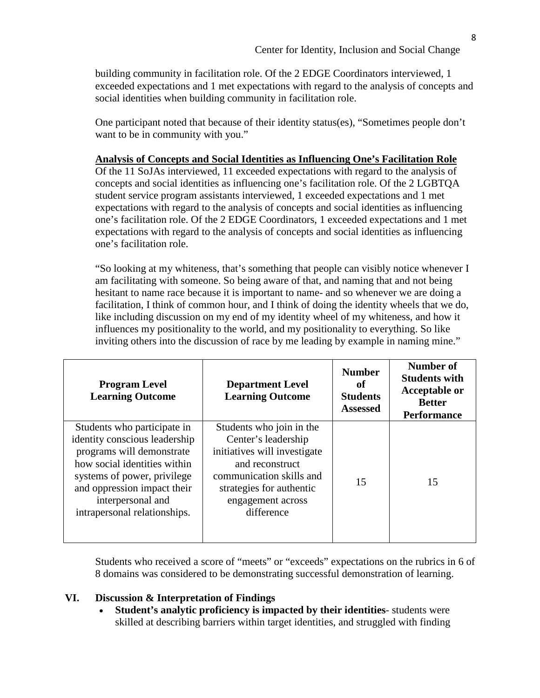building community in facilitation role. Of the 2 EDGE Coordinators interviewed, 1 exceeded expectations and 1 met expectations with regard to the analysis of concepts and social identities when building community in facilitation role.

One participant noted that because of their identity status(es), "Sometimes people don't want to be in community with you."

## **Analysis of Concepts and Social Identities as Influencing One's Facilitation Role**

Of the 11 SoJAs interviewed, 11 exceeded expectations with regard to the analysis of concepts and social identities as influencing one's facilitation role. Of the 2 LGBTQA student service program assistants interviewed, 1 exceeded expectations and 1 met expectations with regard to the analysis of concepts and social identities as influencing one's facilitation role. Of the 2 EDGE Coordinators, 1 exceeded expectations and 1 met expectations with regard to the analysis of concepts and social identities as influencing one's facilitation role.

"So looking at my whiteness, that's something that people can visibly notice whenever I am facilitating with someone. So being aware of that, and naming that and not being hesitant to name race because it is important to name- and so whenever we are doing a facilitation, I think of common hour, and I think of doing the identity wheels that we do, like including discussion on my end of my identity wheel of my whiteness, and how it influences my positionality to the world, and my positionality to everything. So like inviting others into the discussion of race by me leading by example in naming mine."

| <b>Program Level</b><br><b>Learning Outcome</b>                                                                                                                                                                                              | <b>Department Level</b><br><b>Learning Outcome</b>                                                                                                                                            | <b>Number</b><br>оf<br><b>Students</b><br><b>Assessed</b> | <b>Number of</b><br><b>Students with</b><br><b>Acceptable or</b><br><b>Better</b><br><b>Performance</b> |
|----------------------------------------------------------------------------------------------------------------------------------------------------------------------------------------------------------------------------------------------|-----------------------------------------------------------------------------------------------------------------------------------------------------------------------------------------------|-----------------------------------------------------------|---------------------------------------------------------------------------------------------------------|
| Students who participate in<br>identity conscious leadership<br>programs will demonstrate<br>how social identities within<br>systems of power, privilege<br>and oppression impact their<br>interpersonal and<br>intrapersonal relationships. | Students who join in the<br>Center's leadership<br>initiatives will investigate<br>and reconstruct<br>communication skills and<br>strategies for authentic<br>engagement across<br>difference | 15                                                        | 15                                                                                                      |

Students who received a score of "meets" or "exceeds" expectations on the rubrics in 6 of 8 domains was considered to be demonstrating successful demonstration of learning.

## **VI. Discussion & Interpretation of Findings**

**Student's analytic proficiency is impacted by their identities**- students were skilled at describing barriers within target identities, and struggled with finding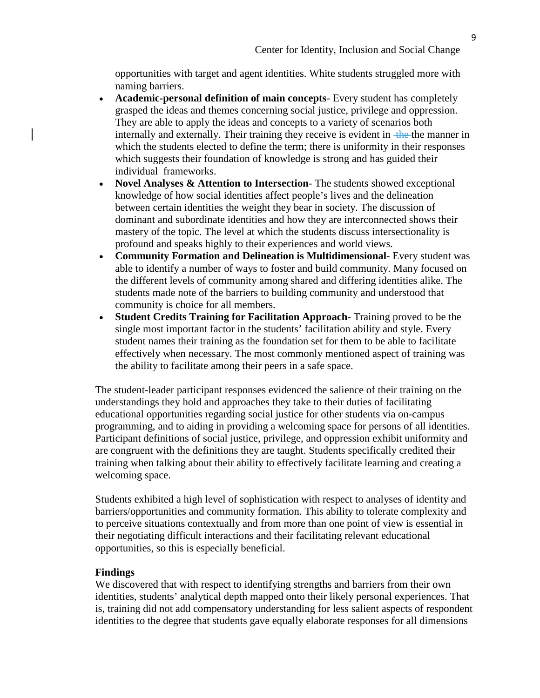opportunities with target and agent identities. White students struggled more with naming barriers.

- **Academic-personal definition of main concepts** Every student has completely grasped the ideas and themes concerning social justice, privilege and oppression. They are able to apply the ideas and concepts to a variety of scenarios both internally and externally. Their training they receive is evident in the the manner in which the students elected to define the term; there is uniformity in their responses which suggests their foundation of knowledge is strong and has guided their individual frameworks.
- **Novel Analyses & Attention to Intersection** The students showed exceptional knowledge of how social identities affect people's lives and the delineation between certain identities the weight they bear in society. The discussion of dominant and subordinate identities and how they are interconnected shows their mastery of the topic. The level at which the students discuss intersectionality is profound and speaks highly to their experiences and world views.
- **Community Formation and Delineation is Multidimensional** Every student was able to identify a number of ways to foster and build community. Many focused on the different levels of community among shared and differing identities alike. The students made note of the barriers to building community and understood that community is choice for all members.
- **Student Credits Training for Facilitation Approach** Training proved to be the single most important factor in the students' facilitation ability and style. Every student names their training as the foundation set for them to be able to facilitate effectively when necessary. The most commonly mentioned aspect of training was the ability to facilitate among their peers in a safe space.

The student-leader participant responses evidenced the salience of their training on the understandings they hold and approaches they take to their duties of facilitating educational opportunities regarding social justice for other students via on-campus programming, and to aiding in providing a welcoming space for persons of all identities. Participant definitions of social justice, privilege, and oppression exhibit uniformity and are congruent with the definitions they are taught. Students specifically credited their training when talking about their ability to effectively facilitate learning and creating a welcoming space.

Students exhibited a high level of sophistication with respect to analyses of identity and barriers/opportunities and community formation. This ability to tolerate complexity and to perceive situations contextually and from more than one point of view is essential in their negotiating difficult interactions and their facilitating relevant educational opportunities, so this is especially beneficial.

## **Findings**

We discovered that with respect to identifying strengths and barriers from their own identities, students' analytical depth mapped onto their likely personal experiences. That is, training did not add compensatory understanding for less salient aspects of respondent identities to the degree that students gave equally elaborate responses for all dimensions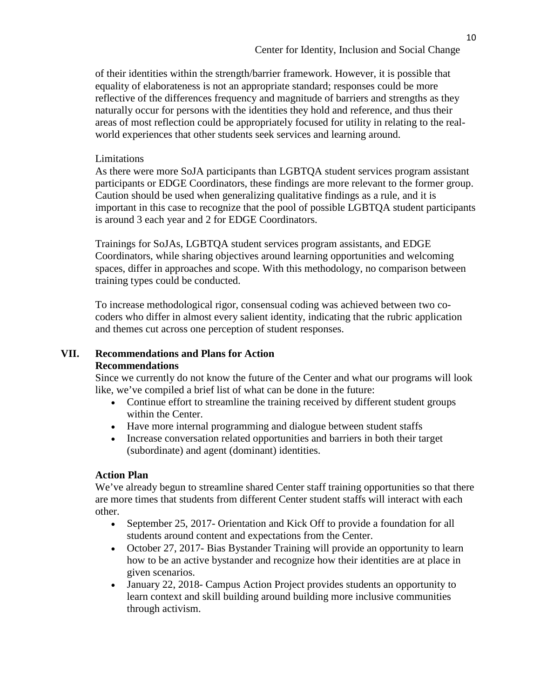of their identities within the strength/barrier framework. However, it is possible that equality of elaborateness is not an appropriate standard; responses could be more reflective of the differences frequency and magnitude of barriers and strengths as they naturally occur for persons with the identities they hold and reference, and thus their areas of most reflection could be appropriately focused for utility in relating to the realworld experiences that other students seek services and learning around.

## Limitations

As there were more SoJA participants than LGBTQA student services program assistant participants or EDGE Coordinators, these findings are more relevant to the former group. Caution should be used when generalizing qualitative findings as a rule, and it is important in this case to recognize that the pool of possible LGBTQA student participants is around 3 each year and 2 for EDGE Coordinators.

Trainings for SoJAs, LGBTQA student services program assistants, and EDGE Coordinators, while sharing objectives around learning opportunities and welcoming spaces, differ in approaches and scope. With this methodology, no comparison between training types could be conducted.

To increase methodological rigor, consensual coding was achieved between two cocoders who differ in almost every salient identity, indicating that the rubric application and themes cut across one perception of student responses.

## **VII. Recommendations and Plans for Action Recommendations**

Since we currently do not know the future of the Center and what our programs will look like, we've compiled a brief list of what can be done in the future:

- Continue effort to streamline the training received by different student groups within the Center.
- Have more internal programming and dialogue between student staffs
- Increase conversation related opportunities and barriers in both their target (subordinate) and agent (dominant) identities.

## **Action Plan**

We've already begun to streamline shared Center staff training opportunities so that there are more times that students from different Center student staffs will interact with each other.

- September 25, 2017- Orientation and Kick Off to provide a foundation for all students around content and expectations from the Center.
- October 27, 2017- Bias Bystander Training will provide an opportunity to learn how to be an active bystander and recognize how their identities are at place in given scenarios.
- January 22, 2018- Campus Action Project provides students an opportunity to learn context and skill building around building more inclusive communities through activism.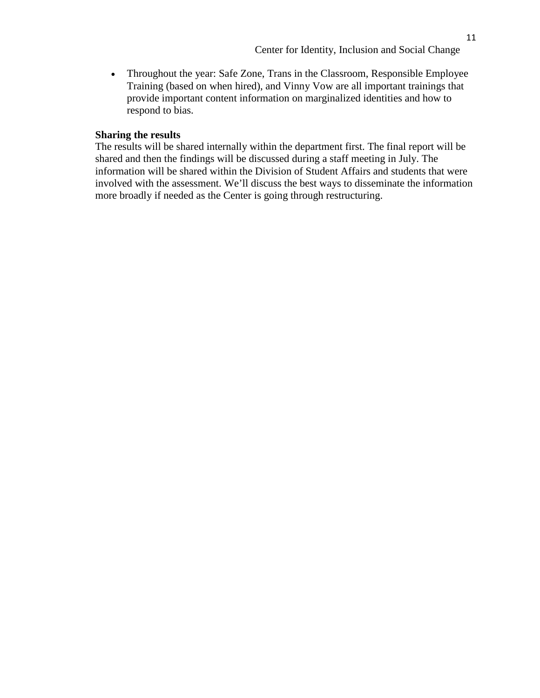11

• Throughout the year: Safe Zone, Trans in the Classroom, Responsible Employee Training (based on when hired), and Vinny Vow are all important trainings that provide important content information on marginalized identities and how to respond to bias.

#### **Sharing the results**

The results will be shared internally within the department first. The final report will be shared and then the findings will be discussed during a staff meeting in July. The information will be shared within the Division of Student Affairs and students that were involved with the assessment. We'll discuss the best ways to disseminate the information more broadly if needed as the Center is going through restructuring.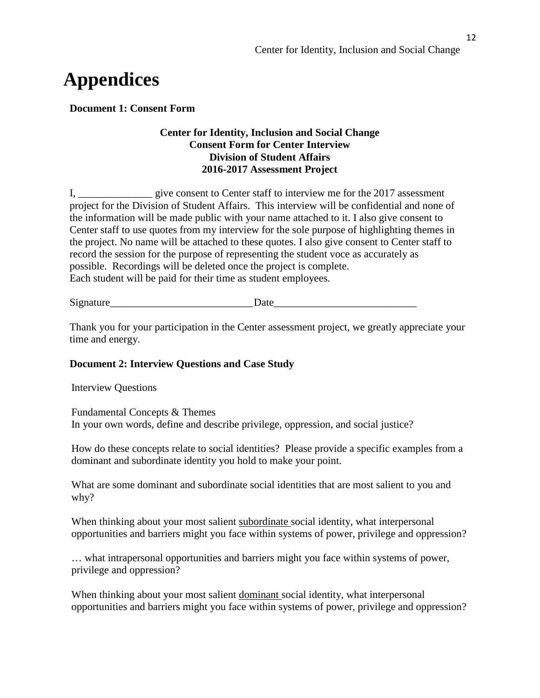# **Appendices**

**Document 1: Consent Form** 

## **Center for Identity, Inclusion and Social Change Consent Form for Center Interview Division of Student Affairs 2016-2017 Assessment Project**

I, \_\_\_\_\_\_\_\_\_\_\_\_\_\_\_ give consent to Center staff to interview me for the 2017 assessment project for the Division of Student Affairs. This interview will be confidential and none of the information will be made public with your name attached to it. I also give consent to Center staff to use quotes from my interview for the sole purpose of highlighting themes in the project. No name will be attached to these quotes. I also give consent to Center staff to record the session for the purpose of representing the student voce as accurately as possible. Recordings will be deleted once the project is complete. Each student will be paid for their time as student employees.

Signature Date

Thank you for your participation in the Center assessment project, we greatly appreciate your time and energy.

## **Document 2: Interview Questions and Case Study**

Interview Questions

Fundamental Concepts & Themes In your own words, define and describe privilege, oppression, and social justice?

How do these concepts relate to social identities? Please provide a specific examples from a dominant and subordinate identity you hold to make your point.

What are some dominant and subordinate social identities that are most salient to you and why?

When thinking about your most salient subordinate social identity, what interpersonal opportunities and barriers might you face within systems of power, privilege and oppression?

… what intrapersonal opportunities and barriers might you face within systems of power, privilege and oppression?

When thinking about your most salient dominant social identity, what interpersonal opportunities and barriers might you face within systems of power, privilege and oppression?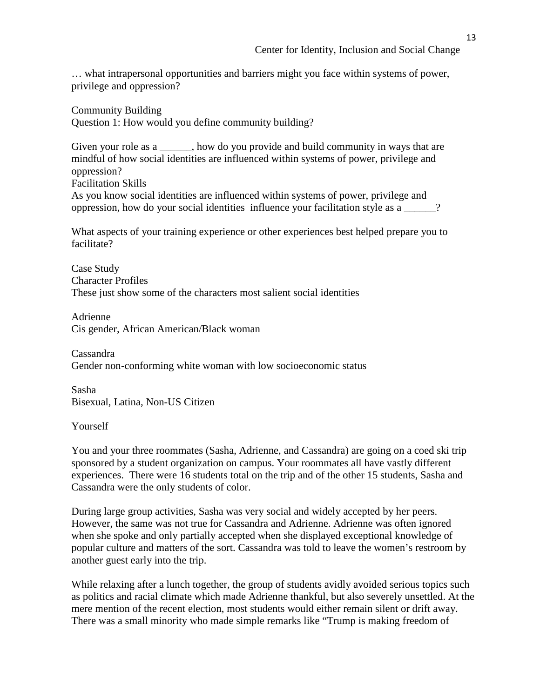… what intrapersonal opportunities and barriers might you face within systems of power, privilege and oppression?

Community Building Question 1: How would you define community building?

Given your role as a  $\qquad \qquad$ , how do you provide and build community in ways that are mindful of how social identities are influenced within systems of power, privilege and oppression? Facilitation Skills As you know social identities are influenced within systems of power, privilege and

oppression, how do your social identities influence your facilitation style as a \_\_\_\_\_\_?

What aspects of your training experience or other experiences best helped prepare you to facilitate?

Case Study Character Profiles These just show some of the characters most salient social identities

Adrienne Cis gender, African American/Black woman

Cassandra Gender non-conforming white woman with low socioeconomic status

Sasha Bisexual, Latina, Non-US Citizen

## Yourself

You and your three roommates (Sasha, Adrienne, and Cassandra) are going on a coed ski trip sponsored by a student organization on campus. Your roommates all have vastly different experiences. There were 16 students total on the trip and of the other 15 students, Sasha and Cassandra were the only students of color.

During large group activities, Sasha was very social and widely accepted by her peers. However, the same was not true for Cassandra and Adrienne. Adrienne was often ignored when she spoke and only partially accepted when she displayed exceptional knowledge of popular culture and matters of the sort. Cassandra was told to leave the women's restroom by another guest early into the trip.

While relaxing after a lunch together, the group of students avidly avoided serious topics such as politics and racial climate which made Adrienne thankful, but also severely unsettled. At the mere mention of the recent election, most students would either remain silent or drift away. There was a small minority who made simple remarks like "Trump is making freedom of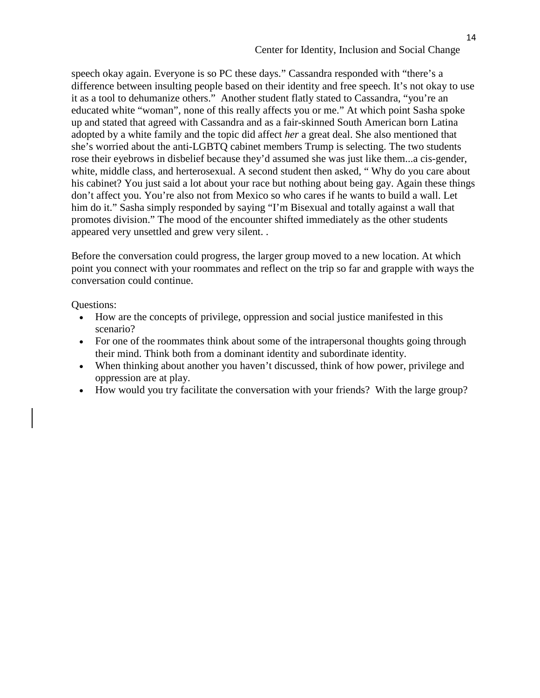14

speech okay again. Everyone is so PC these days." Cassandra responded with "there's a difference between insulting people based on their identity and free speech. It's not okay to use it as a tool to dehumanize others." Another student flatly stated to Cassandra, "you're an educated white "woman", none of this really affects you or me." At which point Sasha spoke up and stated that agreed with Cassandra and as a fair-skinned South American born Latina adopted by a white family and the topic did affect *her* a great deal. She also mentioned that she's worried about the anti-LGBTQ cabinet members Trump is selecting. The two students rose their eyebrows in disbelief because they'd assumed she was just like them...a cis-gender, white, middle class, and herterosexual. A second student then asked, "Why do you care about his cabinet? You just said a lot about your race but nothing about being gay. Again these things don't affect you. You're also not from Mexico so who cares if he wants to build a wall. Let him do it." Sasha simply responded by saying "I'm Bisexual and totally against a wall that promotes division." The mood of the encounter shifted immediately as the other students appeared very unsettled and grew very silent. .

Before the conversation could progress, the larger group moved to a new location. At which point you connect with your roommates and reflect on the trip so far and grapple with ways the conversation could continue.

Questions:

- How are the concepts of privilege, oppression and social justice manifested in this scenario?
- For one of the roommates think about some of the intrapersonal thoughts going through their mind. Think both from a dominant identity and subordinate identity.
- When thinking about another you haven't discussed, think of how power, privilege and oppression are at play.
- How would you try facilitate the conversation with your friends? With the large group?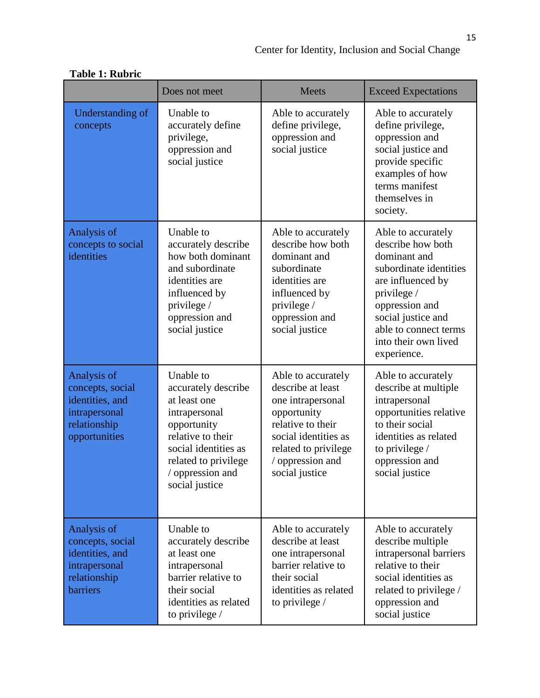|                                                                                                        | Does not meet                                                                                                                                                                               | <b>Meets</b>                                                                                                                                                                           | <b>Exceed Expectations</b>                                                                                                                                                                                                    |
|--------------------------------------------------------------------------------------------------------|---------------------------------------------------------------------------------------------------------------------------------------------------------------------------------------------|----------------------------------------------------------------------------------------------------------------------------------------------------------------------------------------|-------------------------------------------------------------------------------------------------------------------------------------------------------------------------------------------------------------------------------|
| Understanding of<br>concepts                                                                           | Unable to<br>accurately define<br>privilege,<br>oppression and<br>social justice                                                                                                            | Able to accurately<br>define privilege,<br>oppression and<br>social justice                                                                                                            | Able to accurately<br>define privilege,<br>oppression and<br>social justice and<br>provide specific<br>examples of how<br>terms manifest<br>themselves in<br>society.                                                         |
| Analysis of<br>concepts to social<br>identities                                                        | Unable to<br>accurately describe<br>how both dominant<br>and subordinate<br>identities are<br>influenced by<br>privilege /<br>oppression and<br>social justice                              | Able to accurately<br>describe how both<br>dominant and<br>subordinate<br>identities are<br>influenced by<br>privilege /<br>oppression and<br>social justice                           | Able to accurately<br>describe how both<br>dominant and<br>subordinate identities<br>are influenced by<br>privilege /<br>oppression and<br>social justice and<br>able to connect terms<br>into their own lived<br>experience. |
| Analysis of<br>concepts, social<br>identities, and<br>intrapersonal<br>relationship<br>opportunities   | Unable to<br>accurately describe<br>at least one<br>intrapersonal<br>opportunity<br>relative to their<br>social identities as<br>related to privilege<br>/ oppression and<br>social justice | Able to accurately<br>describe at least<br>one intrapersonal<br>opportunity<br>relative to their<br>social identities as<br>related to privilege<br>/ oppression and<br>social justice | Able to accurately<br>describe at multiple<br>intrapersonal<br>opportunities relative<br>to their social<br>identities as related<br>to privilege /<br>oppression and<br>social justice                                       |
| Analysis of<br>concepts, social<br>identities, and<br>intrapersonal<br>relationship<br><b>barriers</b> | Unable to<br>accurately describe<br>at least one<br>intrapersonal<br>barrier relative to<br>their social<br>identities as related<br>to privilege /                                         | Able to accurately<br>describe at least<br>one intrapersonal<br>barrier relative to<br>their social<br>identities as related<br>to privilege /                                         | Able to accurately<br>describe multiple<br>intrapersonal barriers<br>relative to their<br>social identities as<br>related to privilege /<br>oppression and<br>social justice                                                  |

# **Table 1: Rubric**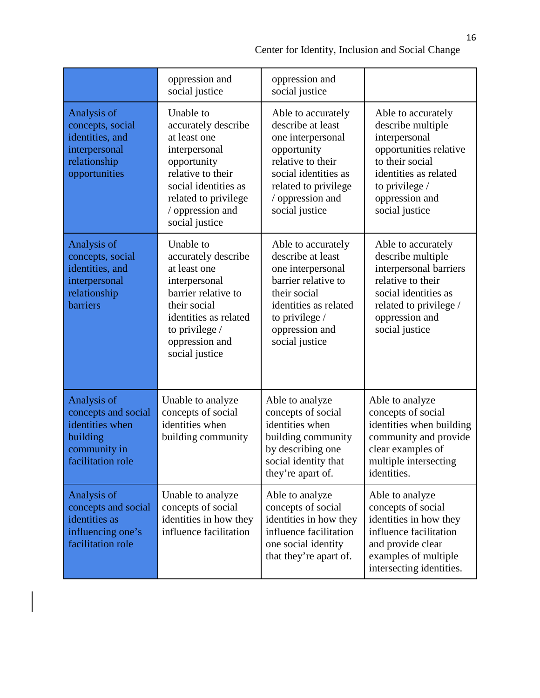|                                                                                                        | oppression and<br>social justice                                                                                                                                                            | oppression and<br>social justice                                                                                                                                                       |                                                                                                                                                                                      |
|--------------------------------------------------------------------------------------------------------|---------------------------------------------------------------------------------------------------------------------------------------------------------------------------------------------|----------------------------------------------------------------------------------------------------------------------------------------------------------------------------------------|--------------------------------------------------------------------------------------------------------------------------------------------------------------------------------------|
| Analysis of<br>concepts, social<br>identities, and<br>interpersonal<br>relationship<br>opportunities   | Unable to<br>accurately describe<br>at least one<br>interpersonal<br>opportunity<br>relative to their<br>social identities as<br>related to privilege<br>/ oppression and<br>social justice | Able to accurately<br>describe at least<br>one interpersonal<br>opportunity<br>relative to their<br>social identities as<br>related to privilege<br>/ oppression and<br>social justice | Able to accurately<br>describe multiple<br>interpersonal<br>opportunities relative<br>to their social<br>identities as related<br>to privilege /<br>oppression and<br>social justice |
| Analysis of<br>concepts, social<br>identities, and<br>interpersonal<br>relationship<br>barriers        | Unable to<br>accurately describe<br>at least one<br>interpersonal<br>barrier relative to<br>their social<br>identities as related<br>to privilege /<br>oppression and<br>social justice     | Able to accurately<br>describe at least<br>one interpersonal<br>barrier relative to<br>their social<br>identities as related<br>to privilege /<br>oppression and<br>social justice     | Able to accurately<br>describe multiple<br>interpersonal barriers<br>relative to their<br>social identities as<br>related to privilege /<br>oppression and<br>social justice         |
| Analysis of<br>concepts and social<br>identities when<br>building<br>community in<br>facilitation role | Unable to analyze<br>concepts of social<br>identities when<br>building community                                                                                                            | Able to analyze<br>concepts of social<br>identities when<br>building community<br>by describing one<br>social identity that<br>they're apart of.                                       | Able to analyze<br>concepts of social<br>identities when building<br>community and provide<br>clear examples of<br>multiple intersecting<br>identities.                              |
| Analysis of<br>concepts and social<br>identities as<br>influencing one's<br>facilitation role          | Unable to analyze<br>concepts of social<br>identities in how they<br>influence facilitation                                                                                                 | Able to analyze<br>concepts of social<br>identities in how they<br>influence facilitation<br>one social identity<br>that they're apart of.                                             | Able to analyze<br>concepts of social<br>identities in how they<br>influence facilitation<br>and provide clear<br>examples of multiple<br>intersecting identities.                   |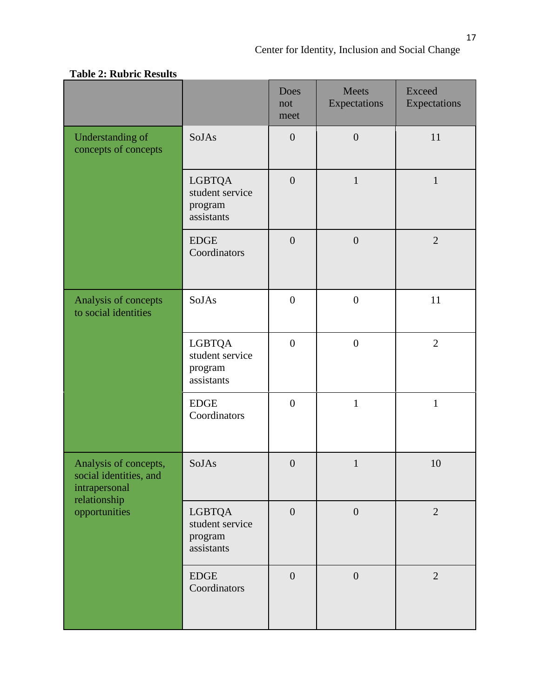|                                                                                                   |                                                           | Does<br>not<br>meet | Meets<br>Expectations | <b>Exceed</b><br>Expectations |
|---------------------------------------------------------------------------------------------------|-----------------------------------------------------------|---------------------|-----------------------|-------------------------------|
| Understanding of<br>concepts of concepts                                                          | SoJAs                                                     | $\overline{0}$      | $\overline{0}$        | 11                            |
|                                                                                                   | LGBTQA<br>student service<br>program<br>assistants        | $\overline{0}$      | $\mathbf{1}$          | $\mathbf{1}$                  |
|                                                                                                   | <b>EDGE</b><br>Coordinators                               | $\overline{0}$      | $\overline{0}$        | $\overline{2}$                |
| Analysis of concepts<br>to social identities                                                      | SoJAs                                                     | $\overline{0}$      | $\boldsymbol{0}$      | 11                            |
|                                                                                                   | <b>LGBTQA</b><br>student service<br>program<br>assistants | $\overline{0}$      | $\boldsymbol{0}$      | $\overline{2}$                |
|                                                                                                   | <b>EDGE</b><br>Coordinators                               | $\overline{0}$      | $\mathbf{1}$          | $\mathbf{1}$                  |
| Analysis of concepts,<br>social identities, and<br>intrapersonal<br>relationship<br>opportunities | SoJAs                                                     | $\overline{0}$      | $\mathbf{1}$          | 10                            |
|                                                                                                   | <b>LGBTQA</b><br>student service<br>program<br>assistants | $\boldsymbol{0}$    | $\boldsymbol{0}$      | $\overline{2}$                |
|                                                                                                   | $\operatorname{EDGE}$<br>Coordinators                     | $\boldsymbol{0}$    | $\overline{0}$        | $\overline{2}$                |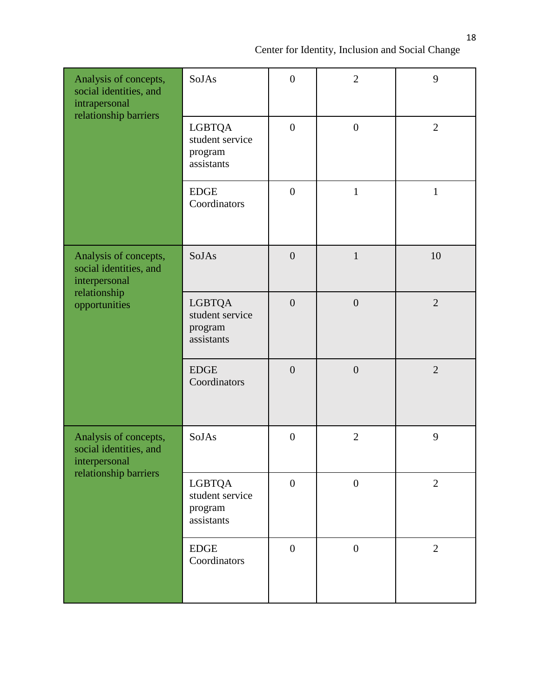| Analysis of concepts,<br>social identities, and<br>intrapersonal<br>relationship barriers         | SoJAs                                                     | $\overline{0}$   | $\overline{2}$   | 9              |
|---------------------------------------------------------------------------------------------------|-----------------------------------------------------------|------------------|------------------|----------------|
|                                                                                                   | <b>LGBTQA</b><br>student service<br>program<br>assistants | $\boldsymbol{0}$ | $\boldsymbol{0}$ | $\overline{2}$ |
|                                                                                                   | <b>EDGE</b><br>Coordinators                               | $\overline{0}$   | $\mathbf{1}$     | $\mathbf{1}$   |
| Analysis of concepts,<br>social identities, and<br>interpersonal<br>relationship<br>opportunities | SoJAs                                                     | $\overline{0}$   | $\mathbf{1}$     | 10             |
|                                                                                                   | <b>LGBTQA</b><br>student service<br>program<br>assistants | $\overline{0}$   | $\overline{0}$   | $\overline{2}$ |
|                                                                                                   | <b>EDGE</b><br>Coordinators                               | $\overline{0}$   | $\overline{0}$   | $\overline{2}$ |
| Analysis of concepts,<br>social identities, and<br>interpersonal<br>relationship barriers         | SoJAs                                                     | $\boldsymbol{0}$ | $\overline{2}$   | 9              |
|                                                                                                   | <b>LGBTQA</b><br>student service<br>program<br>assistants | $\overline{0}$   | $\boldsymbol{0}$ | $\overline{2}$ |
|                                                                                                   | ${\rm EDGE}$<br>Coordinators                              | $\boldsymbol{0}$ | $\boldsymbol{0}$ | $\overline{2}$ |